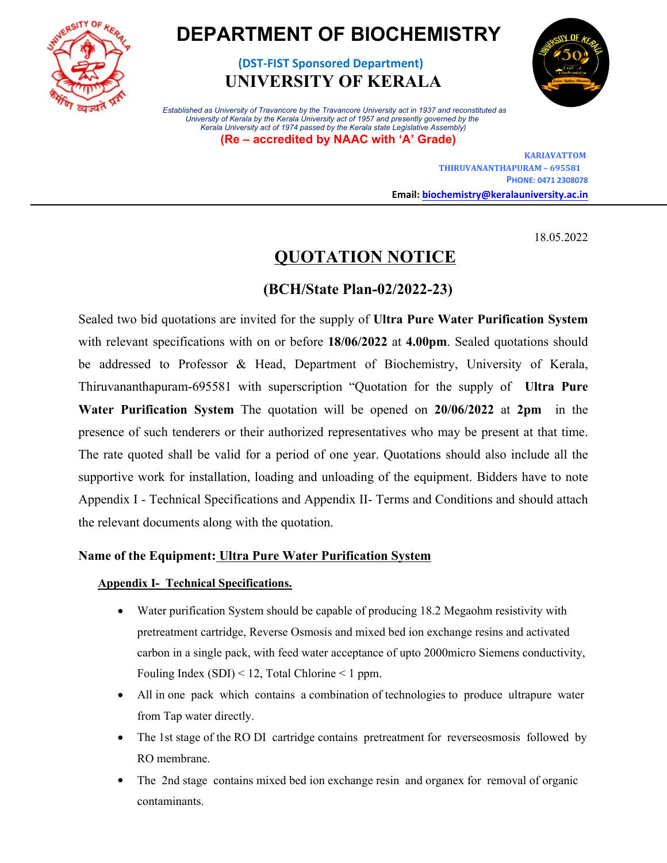

# **DEPARTMENT OF BIOCHEMISTRY**

**(DST-FIST Sponsored Department) UNIVERSITY OF KERALA**



*(Established as University of Travancore by the Travancore University act in 1937 and reconstituted as University of Kerala by the Kerala University act of 1957 and presently governed by the Kerala University act of 1974 passed by the Kerala state Legislative Assembly)*  **(Re – accredited by NAAC with 'A' Grade)**

> **KARIAVATTOM THIRUVANANTHAPURAM – 695581 PHONE: 0471 2308078 Email: biochemistry@keralauniversity.ac.in**

> > 18.05.2022

## **QUOTATION NOTICE**

### **(BCH/State Plan-02/2022-23)**

Sealed two bid quotations are invited for the supply of **Ultra Pure Water Purification System** with relevant specifications with on or before **18/06/2022** at **4.00pm**. Sealed quotations should be addressed to Professor & Head, Department of Biochemistry, University of Kerala, Thiruvananthapuram-695581 with superscription "Quotation for the supply of **Ultra Pure Water Purification System** The quotation will be opened on **20/06/2022** at **2pm** in the presence of such tenderers or their authorized representatives who may be present at that time. The rate quoted shall be valid for a period of one year. Quotations should also include all the supportive work for installation, loading and unloading of the equipment. Bidders have to note Appendix I - Technical Specifications and Appendix II- Terms and Conditions and should attach the relevant documents along with the quotation.

#### **Name of the Equipment: Ultra Pure Water Purification System**

#### **Appendix I- Technical Specifications.**

- Water purification System should be capable of producing 18.2 Megaohm resistivity with pretreatment cartridge, Reverse Osmosis and mixed bed ion exchange resins and activated carbon in a single pack, with feed water acceptance of upto 2000micro Siemens conductivity, Fouling Index  $(SDI) < 12$ , Total Chlorine  $< 1$  ppm.
- All in one pack which contains a combination of technologies to produce ultrapure water from Tap water directly.
- The 1st stage of the RO DI cartridge contains pretreatment for reverseosmosis followed by RO membrane.
- The 2nd stage contains mixed bed ion exchange resin and organex for removal of organic contaminants.